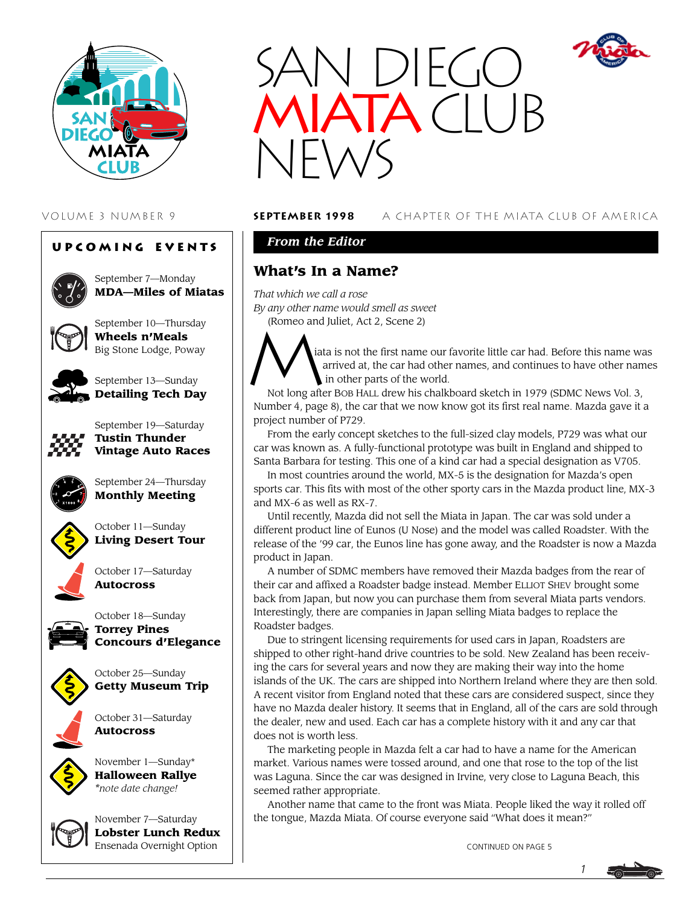

#### **Upcoming Events**



September 7—Monday **MDA—Miles of Miatas**



September 10—Thursday **Wheels n'Meals** Big Stone Lodge, Poway



September 13—Sunday **Detailing Tech Day**



September 19—Saturday **Tustin Thunder Vintage Auto Races**



September 24—Thursday **Monthly Meeting**



October 11—Sunday **Living Desert Tour**

October 17—Saturday **Autocross**





October 25—Sunday **Getty Museum Trip**



November 1—Sunday\* **Halloween Rallye** *\*note date change!*



November 7—Saturday **Lobster Lunch Redux** Ensenada Overnight Option



#### VOLUME 3 NUMBER 9 **september 1998** A CHAPTER OF THE MIATA CLUB OF AMERICA

## *From the Editor*

## **What's In a Name?**

*That which we call a rose By any other name would smell as sweet*



(Romeo and Juliet, Act 2, Scene 2)<br>
alta is not the first name<br>
arrived at, the car had<br>
in other parts of the w iata is not the first name our favorite little car had. Before this name was arrived at, the car had other names, and continues to have other names in other parts of the world.

Not long after BOB HALL drew his chalkboard sketch in 1979 (SDMC News Vol. 3, Number 4, page 8), the car that we now know got its first real name. Mazda gave it a project number of P729.

From the early concept sketches to the full-sized clay models, P729 was what our car was known as. A fully-functional prototype was built in England and shipped to Santa Barbara for testing. This one of a kind car had a special designation as V705.

In most countries around the world, MX-5 is the designation for Mazda's open sports car. This fits with most of the other sporty cars in the Mazda product line, MX-3 and MX-6 as well as RX-7.

Until recently, Mazda did not sell the Miata in Japan. The car was sold under a different product line of Eunos (U Nose) and the model was called Roadster. With the release of the '99 car, the Eunos line has gone away, and the Roadster is now a Mazda product in Japan.

A number of SDMC members have removed their Mazda badges from the rear of their car and affixed a Roadster badge instead. Member ELLIOT SHEV brought some back from Japan, but now you can purchase them from several Miata parts vendors. Interestingly, there are companies in Japan selling Miata badges to replace the Roadster badges.

Due to stringent licensing requirements for used cars in Japan, Roadsters are shipped to other right-hand drive countries to be sold. New Zealand has been receiving the cars for several years and now they are making their way into the home islands of the UK. The cars are shipped into Northern Ireland where they are then sold. A recent visitor from England noted that these cars are considered suspect, since they have no Mazda dealer history. It seems that in England, all of the cars are sold through the dealer, new and used. Each car has a complete history with it and any car that does not is worth less.

The marketing people in Mazda felt a car had to have a name for the American market. Various names were tossed around, and one that rose to the top of the list was Laguna. Since the car was designed in Irvine, very close to Laguna Beach, this seemed rather appropriate.

Another name that came to the front was Miata. People liked the way it rolled off the tongue, Mazda Miata. Of course everyone said "What does it mean?"

CONTINUED ON PAGE 5

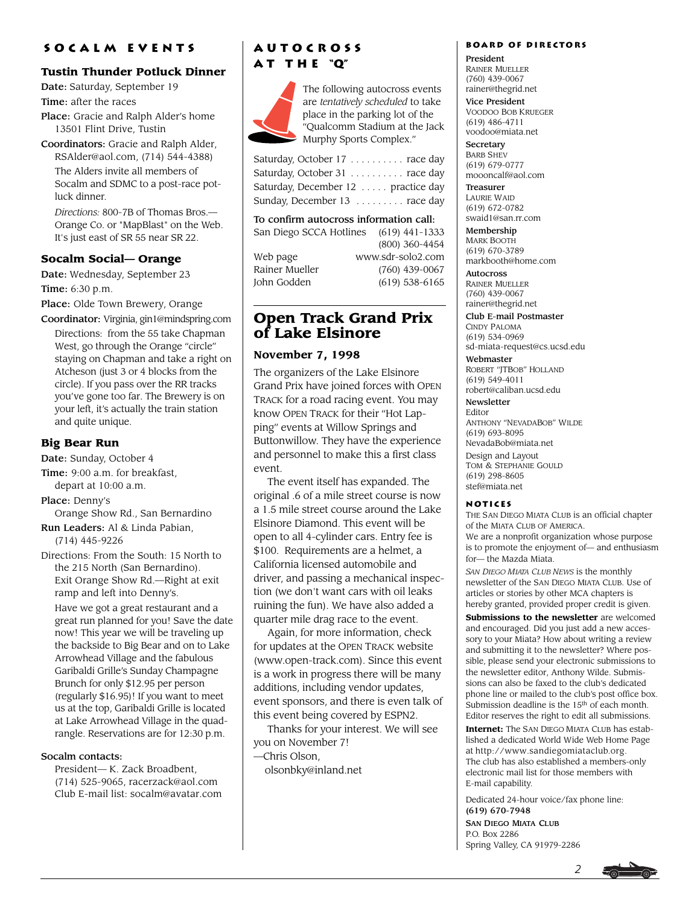#### **Socalm events**

## **Tustin Thunder Potluck Dinner**

Date: Saturday, September 19

Time: after the races

Place: Gracie and Ralph Alder's home 13501 Flint Drive, Tustin

Coordinators: Gracie and Ralph Alder, RSAlder@aol.com, (714) 544-4388) The Alders invite all members of

Socalm and SDMC to a post-race potluck dinner.

*Directions:* 800-7B of Thomas Bros.— Orange Co. or "MapBlast" on the Web. It's just east of SR 55 near SR 22.

## **Socalm Social— Orange**

Date: Wednesday, September 23 Time: 6:30 p.m.

Place: Olde Town Brewery, Orange

Coordinator: Virginia, gin1@mindspring.com Directions: from the 55 take Chapman West, go through the Orange "circle" staying on Chapman and take a right on Atcheson (just 3 or 4 blocks from the circle). If you pass over the RR tracks you've gone too far. The Brewery is on your left, it's actually the train station and quite unique.

## **Big Bear Run**

Date: Sunday, October 4

Time: 9:00 a.m. for breakfast, depart at 10:00 a.m.

Place: Denny's

Orange Show Rd., San Bernardino

Run Leaders: Al & Linda Pabian, (714) 445-9226

Directions: From the South: 15 North to the 215 North (San Bernardino). Exit Orange Show Rd.—Right at exit ramp and left into Denny's.

Have we got a great restaurant and a great run planned for you! Save the date now! This year we will be traveling up the backside to Big Bear and on to Lake Arrowhead Village and the fabulous Garibaldi Grille's Sunday Champagne Brunch for only \$12.95 per person (regularly \$16.95)! If you want to meet us at the top, Garibaldi Grille is located at Lake Arrowhead Village in the quadrangle. Reservations are for 12:30 p.m.

#### Socalm contacts:

President— K. Zack Broadbent, (714) 525-9065, racerzack@aol.com Club E-mail list: socalm@avatar.com

## **Autocross a t t h e "Q"**



The following autocross events are *tentatively scheduled* to take place in the parking lot of the "Qualcomm Stadium at the Jack Murphy Sports Complex."

| Saturday, October 17 race day       |  |
|-------------------------------------|--|
| Saturday, October 31 race day       |  |
| Saturday, December 12  practice day |  |
| Sunday, December 13  race day       |  |

To confirm autocross information call:

| San Diego SCCA Hotlines | $(619)$ 441-1333  |
|-------------------------|-------------------|
|                         | (800) 360-4454    |
| Web page                | www.sdr-solo2.com |
| Rainer Mueller          | $(760)$ 439-0067  |
| John Godden             | $(619)$ 538-6165  |

## **Open Track Grand Prix of Lake Elsinore**

## **November 7, 1998**

The organizers of the Lake Elsinore Grand Prix have joined forces with OPEN TRACK for a road racing event. You may know OPEN TRACK for their "Hot Lapping" events at Willow Springs and Buttonwillow. They have the experience and personnel to make this a first class event.

The event itself has expanded. The original .6 of a mile street course is now a 1.5 mile street course around the Lake Elsinore Diamond. This event will be open to all 4-cylinder cars. Entry fee is \$100. Requirements are a helmet, a California licensed automobile and driver, and passing a mechanical inspection (we don't want cars with oil leaks ruining the fun). We have also added a quarter mile drag race to the event.

Again, for more information, check for updates at the OPEN TRACK website (www.open-track.com). Since this event is a work in progress there will be many additions, including vendor updates, event sponsors, and there is even talk of this event being covered by ESPN2.

Thanks for your interest. We will see you on November 7!

—Chris Olson,

olsonbky@inland.net

#### **Board of Directors**

President RAINER MUELLER (760) 439-0067 rainer@thegrid.net

Vice President VOODOO BOB KRUEGER (619) 486-4711 voodoo@miata.net

**Secretary** BARB SHEV (619) 679-0777 moooncalf@aol.com

Treasurer LAURIE WAID (619) 672-0782 swaid1@san.rr.com

Membership MARK BOOTH (619) 670-3789 markbooth@home.com

Autocross RAINER MUELLER (760) 439-0067 rainer@thegrid.net

Club E-mail Postmaster CINDY PALOMA (619) 534-0969 sd-miata-request@cs.ucsd.edu

Webmaster ROBERT "JTBOB" HOLLAND (619) 549-4011 robert@caliban.ucsd.edu

Newsletter Editor ANTHONY "NEVADABOB" WILDE (619) 693-8095 NevadaBob@miata.net Design and Layout TOM & STEPHANIE GOULD (619) 298-8605 stef@miata.net

#### **Notices**

THE SAN DIEGO MIATA CLUB is an official chapter of the MIATA CLUB OF AMERICA. We are a nonprofit organization whose purpose is to promote the enjoyment of— and enthusiasm for— the Mazda Miata.

*SAN DIEGO MIATA CLUB NEWS* is the monthly newsletter of the SAN DIEGO MIATA CLUB. Use of articles or stories by other MCA chapters is hereby granted, provided proper credit is given.

**Submissions to the newsletter** are welcomed and encouraged. Did you just add a new accessory to your Miata? How about writing a review and submitting it to the newsletter? Where possible, please send your electronic submissions to the newsletter editor, Anthony Wilde. Submissions can also be faxed to the club's dedicated phone line or mailed to the club's post office box. Submission deadline is the 15<sup>th</sup> of each month. Editor reserves the right to edit all submissions.

**Internet:** The SAN DIEGO MIATA CLUB has established a dedicated World Wide Web Home Page at http://www.sandiegomiataclub.org. The club has also established a members-only electronic mail list for those members with E-mail capability.

Dedicated 24-hour voice/fax phone line: (619) 670-7948

SAN DIEGO MIATA CLUB P.O. Box 2286 Spring Valley, CA 91979-2286

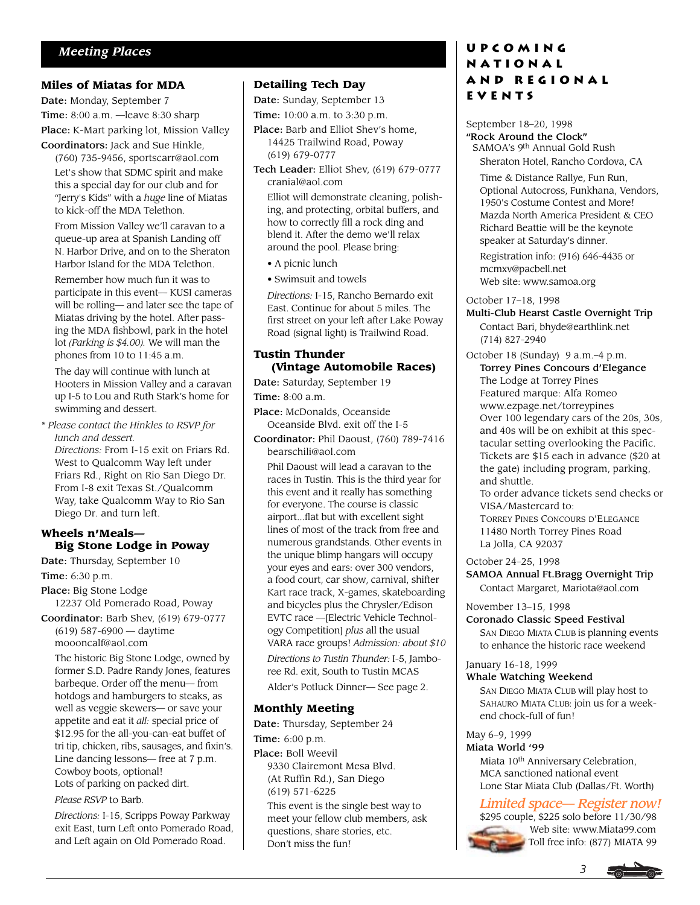#### **Miles of Miatas for MDA**

Date: Monday, September 7 Time: 8:00 a.m. —leave 8:30 sharp Place: K-Mart parking lot, Mission Valley Coordinators: Jack and Sue Hinkle,

(760) 735-9456, sportscarr@aol.com Let's show that SDMC spirit and make this a special day for our club and for "Jerry's Kids" with a *huge* line of Miatas to kick-off the MDA Telethon.

From Mission Valley we'll caravan to a queue-up area at Spanish Landing off N. Harbor Drive, and on to the Sheraton Harbor Island for the MDA Telethon.

Remember how much fun it was to participate in this event— KUSI cameras will be rolling— and later see the tape of Miatas driving by the hotel. After passing the MDA fishbowl, park in the hotel lot *(Parking is \$4.00).* We will man the phones from 10 to 11:45 a.m.

The day will continue with lunch at Hooters in Mission Valley and a caravan up I-5 to Lou and Ruth Stark's home for swimming and dessert.

*\* Please contact the Hinkles to RSVP for lunch and dessert.*

*Directions:* From I-15 exit on Friars Rd. West to Qualcomm Way left under Friars Rd., Right on Rio San Diego Dr. From I-8 exit Texas St./Qualcomm Way, take Qualcomm Way to Rio San Diego Dr. and turn left.

#### **Wheels n'Meals— Big Stone Lodge in Poway**

Date: Thursday, September 10 Time: 6:30 p.m.

Place: Big Stone Lodge

12237 Old Pomerado Road, Poway Coordinator: Barb Shev, (619) 679-0777

(619) 587-6900 — daytime moooncalf@aol.com

The historic Big Stone Lodge, owned by former S.D. Padre Randy Jones, features barbeque. Order off the menu— from hotdogs and hamburgers to steaks, as well as veggie skewers— or save your appetite and eat it *all:* special price of \$12.95 for the all-you-can-eat buffet of tri tip, chicken, ribs, sausages, and fixin's. Line dancing lessons— free at 7 p.m. Cowboy boots, optional! Lots of parking on packed dirt.

*Please RSVP* to Barb.

*Directions:* I-15, Scripps Poway Parkway exit East, turn Left onto Pomerado Road, and Left again on Old Pomerado Road.

#### **Detailing Tech Day**

Date: Sunday, September 13

Time: 10:00 a.m. to 3:30 p.m.

- Place: Barb and Elliot Shev's home, 14425 Trailwind Road, Poway (619) 679-0777
- Tech Leader: Elliot Shev, (619) 679-0777 cranial@aol.com

Elliot will demonstrate cleaning, polishing, and protecting, orbital buffers, and how to correctly fill a rock ding and blend it. After the demo we'll relax around the pool. Please bring:

• A picnic lunch

• Swimsuit and towels

*Directions:* I-15, Rancho Bernardo exit East. Continue for about 5 miles. The first street on your left after Lake Poway Road (signal light) is Trailwind Road.

#### **Tustin Thunder (Vintage Automobile Races)**

Date: Saturday, September 19 Time: 8:00 a.m.

Place: McDonalds, Oceanside Oceanside Blvd. exit off the I-5

Coordinator: Phil Daoust, (760) 789-7416 bearschili@aol.com

Phil Daoust will lead a caravan to the races in Tustin. This is the third year for this event and it really has something for everyone. The course is classic airport...flat but with excellent sight lines of most of the track from free and numerous grandstands. Other events in the unique blimp hangars will occupy your eyes and ears: over 300 vendors, a food court, car show, carnival, shifter Kart race track, X-games, skateboarding and bicycles plus the Chrysler/Edison EVTC race —[Electric Vehicle Technology Competition] *plus* all the usual VARA race groups! *Admission: about \$10*

*Directions to Tustin Thunder:* I-5, Jamboree Rd. exit, South to Tustin MCAS

Alder's Potluck Dinner— See page 2.

#### **Monthly Meeting**

Date: Thursday, September 24 Time: 6:00 p.m. Place: Boll Weevil

9330 Clairemont Mesa Blvd. (At Ruffin Rd.), San Diego (619) 571-6225

This event is the single best way to meet your fellow club members, ask questions, share stories, etc. Don't miss the fun!

## **Upcoming National and Regional Events**

September 18–20, 1998 "Rock Around the Clock" SAMOA's 9th Annual Gold Rush Sheraton Hotel, Rancho Cordova, CA

Time & Distance Rallye, Fun Run, Optional Autocross, Funkhana, Vendors, 1950's Costume Contest and More! Mazda North America President & CEO Richard Beattie will be the keynote speaker at Saturday's dinner.

Registration info: (916) 646-4435 or mcmxv@pacbell.net Web site: www.samoa.org

#### October 17–18, 1998

Multi-Club Hearst Castle Overnight Trip Contact Bari, bhyde@earthlink.net (714) 827-2940

October 18 (Sunday) 9 a.m.–4 p.m. Torrey Pines Concours d'Elegance The Lodge at Torrey Pines Featured marque: Alfa Romeo www.ezpage.net/torreypines Over 100 legendary cars of the 20s, 30s, and 40s will be on exhibit at this spectacular setting overlooking the Pacific. Tickets are \$15 each in advance (\$20 at the gate) including program, parking, and shuttle.

To order advance tickets send checks or VISA/Mastercard to:

TORREY PINES CONCOURS D'ELEGANCE 11480 North Torrey Pines Road La Jolla, CA 92037

October 24–25, 1998

SAMOA Annual Ft.Bragg Overnight Trip

Contact Margaret, Mariota@aol.com

#### November 13–15, 1998

Coronado Classic Speed Festival SAN DIEGO MIATA CLUB is planning events to enhance the historic race weekend

#### January 16-18, 1999

#### Whale Watching Weekend

SAN DIEGO MIATA CLUB will play host to SAHAURO MIATA CLUB: join us for a weekend chock-full of fun!

## May 6–9, 1999

Miata World '99

Miata 10<sup>th</sup> Anniversary Celebration, MCA sanctioned national event Lone Star Miata Club (Dallas/Ft. Worth)

## *Limited space— Register now!*

\$295 couple, \$225 solo before 11/30/98 Web site: www.Miata99.com Toll free info: (877) MIATA 99

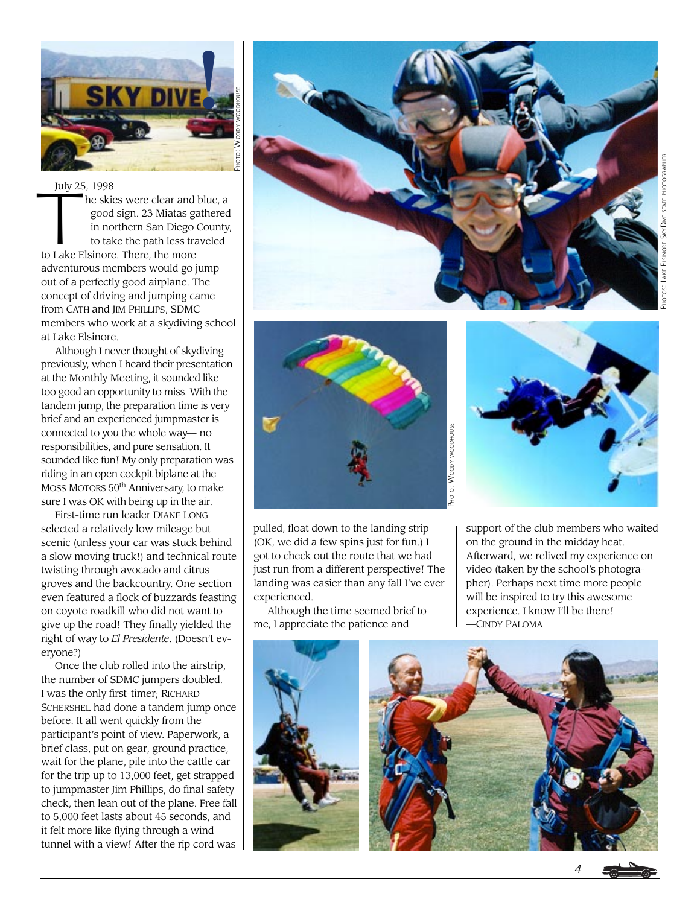

#### July 25, 1998

July 25 he skies were clear and blue, a good sign. 23 Miatas gathered in northern San Diego County, to take the path less traveled to Lake Elsinore. There, the more adventurous members would go jump out of a perfectly good airplane. The concept of driving and jumping came from CATH and JIM PHILLIPS, SDMC members who work at a skydiving school at Lake Elsinore.

Although I never thought of skydiving previously, when I heard their presentation at the Monthly Meeting, it sounded like too good an opportunity to miss. With the tandem jump, the preparation time is very brief and an experienced jumpmaster is connected to you the whole way— no responsibilities, and pure sensation. It sounded like fun! My only preparation was riding in an open cockpit biplane at the MOSS MOTORS 50th Anniversary, to make sure I was OK with being up in the air.

First-time run leader DIANE LONG selected a relatively low mileage but scenic (unless your car was stuck behind a slow moving truck!) and technical route twisting through avocado and citrus groves and the backcountry. One section even featured a flock of buzzards feasting on coyote roadkill who did not want to give up the road! They finally yielded the right of way to *El Presidente*. (Doesn't everyone?)

Once the club rolled into the airstrip, the number of SDMC jumpers doubled. I was the only first-timer; RICHARD SCHERSHEL had done a tandem jump once before. It all went quickly from the participant's point of view. Paperwork, a brief class, put on gear, ground practice, wait for the plane, pile into the cattle car for the trip up to 13,000 feet, get strapped to jumpmaster Jim Phillips, do final safety check, then lean out of the plane. Free fall to 5,000 feet lasts about 45 seconds, and it felt more like flying through a wind tunnel with a view! After the rip cord was





pulled, float down to the landing strip (OK, we did a few spins just for fun.) I got to check out the route that we had just run from a different perspective! The landing was easier than any fall I've ever experienced.

Although the time seemed brief to me, I appreciate the patience and



support of the club members who waited on the ground in the midday heat. Afterward, we relived my experience on video (taken by the school's photographer). Perhaps next time more people will be inspired to try this awesome experience. I know I'll be there! —CINDY PALOMA



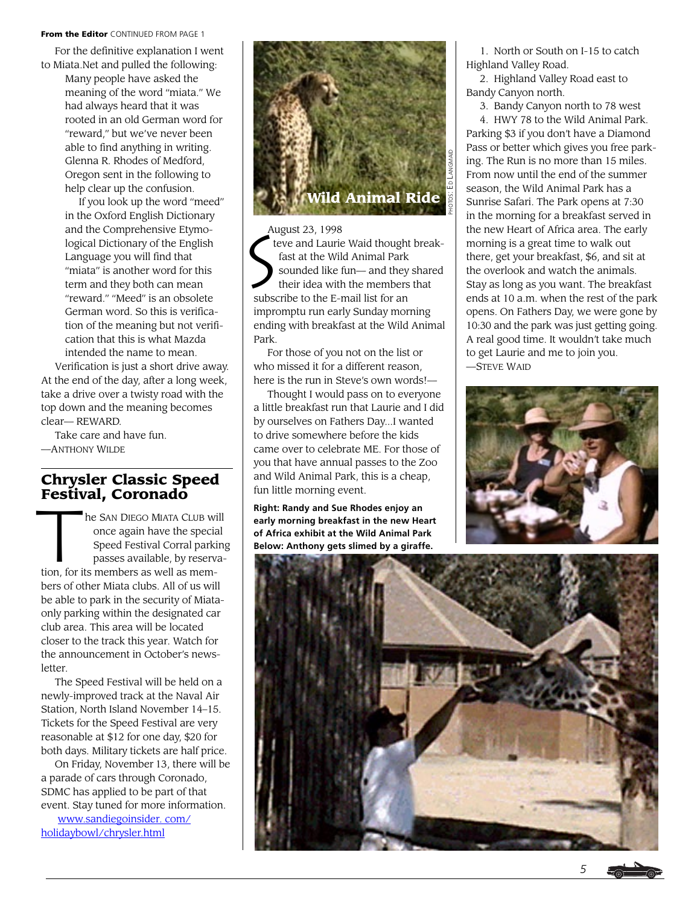#### From the Editor CONTINUED FROM PAGE 1

For the definitive explanation I went to Miata.Net and pulled the following:

Many people have asked the meaning of the word "miata." We had always heard that it was rooted in an old German word for "reward," but we've never been able to find anything in writing. Glenna R. Rhodes of Medford, Oregon sent in the following to help clear up the confusion.

If you look up the word "meed" in the Oxford English Dictionary and the Comprehensive Etymological Dictionary of the English Language you will find that "miata" is another word for this term and they both can mean "reward." "Meed" is an obsolete German word. So this is verification of the meaning but not verification that this is what Mazda intended the name to mean.

Verification is just a short drive away. At the end of the day, after a long week, take a drive over a twisty road with the top down and the meaning becomes clear— REWARD.

Take care and have fun. —ANTHONY WILDE

# **Chrysler Classic Speed**

**Festival, Coronado**<br>
he SAN DIEGO MIATA C<br>
once again have the<br>
Speed Festival Corra<br>
passes available, by he SAN DIEGO MIATA CLUB will once again have the special Speed Festival Corral parking passes available, by reservation, for its members as well as members of other Miata clubs. All of us will be able to park in the security of Miataonly parking within the designated car club area. This area will be located closer to the track this year. Watch for the announcement in October's newsletter.

The Speed Festival will be held on a newly-improved track at the Naval Air Station, North Island November 14–15. Tickets for the Speed Festival are very reasonable at \$12 for one day, \$20 for both days. Military tickets are half price.

On Friday, November 13, there will be a parade of cars through Coronado, SDMC has applied to be part of that event. Stay tuned for more information.

www.sandiegoinsider. com/ holidaybowl/chrysler.html



August 23, 1998

 $\left|\boldsymbol{\zeta}^{\text{\tiny{Au}}} \right|$ teve and Laurie Waid thought break fast at the Wild Animal Park sounded like fun— and they shared their idea with the members that subscribe to the E-mail list for an impromptu run early Sunday morning ending with breakfast at the Wild Animal Park.

For those of you not on the list or who missed it for a different reason. here is the run in Steve's own words!—

Thought I would pass on to everyone a little breakfast run that Laurie and I did by ourselves on Fathers Day...I wanted to drive somewhere before the kids came over to celebrate ME. For those of you that have annual passes to the Zoo and Wild Animal Park, this is a cheap, fun little morning event.

**Right: Randy and Sue Rhodes enjoy an early morning breakfast in the new Heart of Africa exhibit at the Wild Animal Park Below: Anthony gets slimed by a giraffe.**

1. North or South on I-15 to catch Highland Valley Road.

2. Highland Valley Road east to Bandy Canyon north.

3. Bandy Canyon north to 78 west 4. HWY 78 to the Wild Animal Park. Parking \$3 if you don't have a Diamond Pass or better which gives you free parking. The Run is no more than 15 miles. From now until the end of the summer season, the Wild Animal Park has a Sunrise Safari. The Park opens at 7:30 in the morning for a breakfast served in the new Heart of Africa area. The early morning is a great time to walk out there, get your breakfast, \$6, and sit at the overlook and watch the animals. Stay as long as you want. The breakfast ends at 10 a.m. when the rest of the park opens. On Fathers Day, we were gone by 10:30 and the park was just getting going. A real good time. It wouldn't take much to get Laurie and me to join you. —STEVE WAID



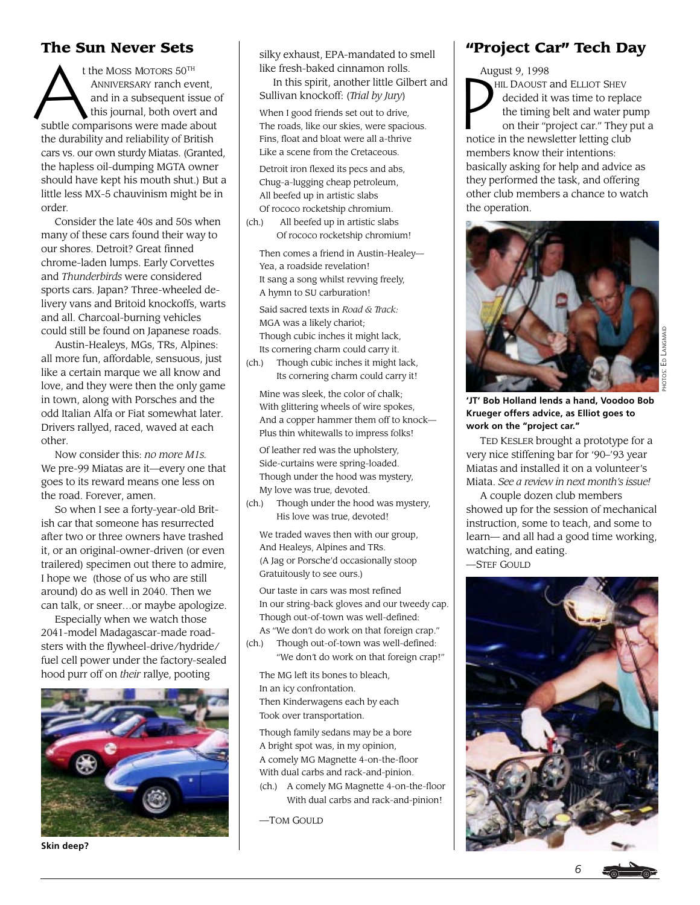## **The Sun Never Sets**

The Suit Never Sets<br>
the Moss Morors 50<sup>TH</sup><br>
ANNIVERSARY ranch event,<br>
and in a subsequent issue of<br>
subtle comparisons were made about<br>
and in a subsequent subsequent and<br>
subtle comparisons were made about<br>
The roads, li t the MOSS MOTORS 50TH ANNIVERSARY ranch event, and in a subsequent issue of this journal, both overt and subtle comparisons were made about the durability and reliability of British cars vs. our own sturdy Miatas. (Granted, the hapless oil-dumping MGTA owner should have kept his mouth shut.) But a little less MX-5 chauvinism might be in order.

Consider the late 40s and 50s when many of these cars found their way to our shores. Detroit? Great finned chrome-laden lumps. Early Corvettes and *Thunderbirds* were considered sports cars. Japan? Three-wheeled delivery vans and Britoid knockoffs, warts and all. Charcoal-burning vehicles could still be found on Japanese roads.

Austin-Healeys, MGs, TRs, Alpines: all more fun, affordable, sensuous, just like a certain marque we all know and love, and they were then the only game in town, along with Porsches and the odd Italian Alfa or Fiat somewhat later. Drivers rallyed, raced, waved at each other.

Now consider this: *no more M1s.* We pre-99 Miatas are it—every one that goes to its reward means one less on the road. Forever, amen.

So when I see a forty-year-old British car that someone has resurrected after two or three owners have trashed it, or an original-owner-driven (or even trailered) specimen out there to admire, I hope we (those of us who are still around) do as well in 2040. Then we can talk, or sneer…or maybe apologize.

Especially when we watch those 2041-model Madagascar-made roadsters with the flywheel-drive/hydride/ fuel cell power under the factory-sealed hood purr off on *their* rallye, pooting



**Skin deep?**

silky exhaust, EPA-mandated to smell like fresh-baked cinnamon rolls.

 In this spirit, another little Gilbert and Sullivan knockoff: (*Trial by Jury*)

When I good friends set out to drive, The roads, like our skies, were spacious. Fins, float and bloat were all a-thrive Like a scene from the Cretaceous.

Detroit iron flexed its pecs and abs, Chug-a-lugging cheap petroleum, All beefed up in artistic slabs Of rococo rocketship chromium.

(ch.) All beefed up in artistic slabs Of rococo rocketship chromium!

Then comes a friend in Austin-Healey— Yea, a roadside revelation! It sang a song whilst revving freely, A hymn to SU carburation!

Said sacred texts in *Road & Track:* MGA was a likely chariot; Though cubic inches it might lack, Its cornering charm could carry it.

(ch.) Though cubic inches it might lack, Its cornering charm could carry it!

Mine was sleek, the color of chalk; With glittering wheels of wire spokes, And a copper hammer them off to knock— Plus thin whitewalls to impress folks!

Of leather red was the upholstery, Side-curtains were spring-loaded. Though under the hood was mystery, My love was true, devoted.

(ch.) Though under the hood was mystery, His love was true, devoted!

We traded waves then with our group, And Healeys, Alpines and TRs. (A Jag or Porsche'd occasionally stoop Gratuitously to see ours.)

Our taste in cars was most refined In our string-back gloves and our tweedy cap. Though out-of-town was well-defined: As "We don't do work on that foreign crap."

(ch.) Though out-of-town was well-defined: "We don't do work on that foreign crap!"

The MG left its bones to bleach, In an icy confrontation. Then Kinderwagens each by each Took over transportation.

Though family sedans may be a bore A bright spot was, in my opinion, A comely MG Magnette 4-on-the-floor With dual carbs and rack-and-pinion.

(ch.) A comely MG Magnette 4-on-the-floor With dual carbs and rack-and-pinion!

—TOM GOULD

## **"Project Car" Tech Day**

August 9, 1998 HIL DAOUST and ELLIOT SHEV decided it was time to replace the timing belt and water pump on their "project car." They put a notice in the newsletter letting club members know their intentions: basically asking for help and advice as they performed the task, and offering other club members a chance to watch the operation.



**'JT' Bob Holland lends a hand, Voodoo Bob Krueger offers advice, as Elliot goes to work on the "project car."**

TED KESLER brought a prototype for a very nice stiffening bar for '90–'93 year Miatas and installed it on a volunteer's Miata. *See a review in next month's issue!*

A couple dozen club members showed up for the session of mechanical instruction, some to teach, and some to learn— and all had a good time working, watching, and eating. —STEF GOULD

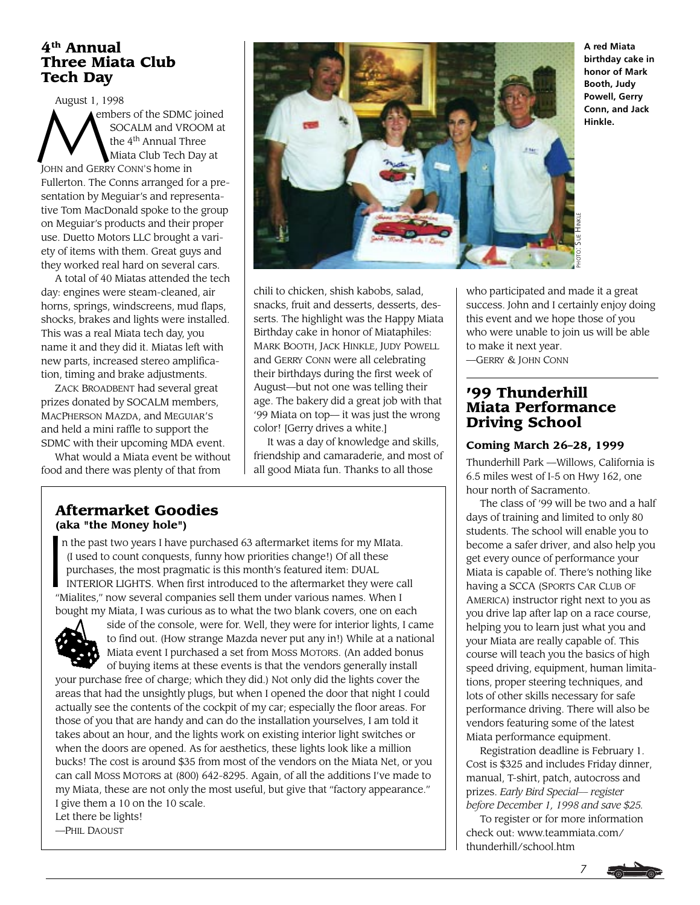## **4th Annual Three Miata Club Tech Day**

August 1, 1998<br>
Member<br>
M<sub>the</sub> embers of the SDMC joined SOCALM and VROOM at the 4<sup>th</sup> Annual Three Miata Club Tech Day at JOHN and GERRY CONN'S home in Fullerton. The Conns arranged for a presentation by Meguiar's and representative Tom MacDonald spoke to the group on Meguiar's products and their proper use. Duetto Motors LLC brought a variety of items with them. Great guys and they worked real hard on several cars.

A total of 40 Miatas attended the tech day: engines were steam-cleaned, air horns, springs, windscreens, mud flaps, shocks, brakes and lights were installed. This was a real Miata tech day, you name it and they did it. Miatas left with new parts, increased stereo amplification, timing and brake adjustments.

ZACK BROADBENT had several great prizes donated by SOCALM members, MACPHERSON MAZDA, and MEGUIAR'S and held a mini raffle to support the SDMC with their upcoming MDA event.

What would a Miata event be without food and there was plenty of that from



chili to chicken, shish kabobs, salad, snacks, fruit and desserts, desserts, desserts. The highlight was the Happy Miata Birthday cake in honor of Miataphiles: MARK BOOTH, JACK HINKLE, JUDY POWELL and GERRY CONN were all celebrating their birthdays during the first week of August—but not one was telling their age. The bakery did a great job with that '99 Miata on top— it was just the wrong color! [Gerry drives a white.]

It was a day of knowledge and skills, friendship and camaraderie, and most of all good Miata fun. Thanks to all those

### **Aftermarket Goodies (aka "the Money hole")**

 $\begin{array}{c}\n\textbf{(al)} \\
\textbf{n} \\
\textbf{(l)} \\
\textbf{I}\n\end{array}$  n the past two years I have purchased 63 aftermarket items for my MIata. (I used to count conquests, funny how priorities change!) Of all these purchases, the most pragmatic is this month's featured item: DUAL INTERIOR LIGHTS. When first introduced to the aftermarket they were call "Mialites," now several companies sell them under various names. When I bought my Miata, I was curious as to what the two blank covers, one on each



side of the console, were for. Well, they were for interior lights, I came to find out. (How strange Mazda never put any in!) While at a national Miata event I purchased a set from MOSS MOTORS. (An added bonus of buying items at these events is that the vendors generally install

your purchase free of charge; which they did.) Not only did the lights cover the areas that had the unsightly plugs, but when I opened the door that night I could actually see the contents of the cockpit of my car; especially the floor areas. For those of you that are handy and can do the installation yourselves, I am told it takes about an hour, and the lights work on existing interior light switches or when the doors are opened. As for aesthetics, these lights look like a million bucks! The cost is around \$35 from most of the vendors on the Miata Net, or you can call MOSS MOTORS at (800) 642-8295. Again, of all the additions I've made to my Miata, these are not only the most useful, but give that "factory appearance." I give them a 10 on the 10 scale.

Let there be lights! —PHIL DAOUST

**A red Miata birthday cake in honor of Mark Booth, Judy Powell, Gerry Conn, and Jack Hinkle.**

who participated and made it a great success. John and I certainly enjoy doing this event and we hope those of you who were unable to join us will be able to make it next year. —GERRY & JOHN CONN

## **'99 Thunderhill Miata Performance Driving School**

### **Coming March 26–28, 1999**

Thunderhill Park —Willows, California is 6.5 miles west of I-5 on Hwy 162, one hour north of Sacramento.

The class of '99 will be two and a half days of training and limited to only 80 students. The school will enable you to become a safer driver, and also help you get every ounce of performance your Miata is capable of. There's nothing like having a SCCA (SPORTS CAR CLUB OF AMERICA) instructor right next to you as you drive lap after lap on a race course, helping you to learn just what you and your Miata are really capable of. This course will teach you the basics of high speed driving, equipment, human limitations, proper steering techniques, and lots of other skills necessary for safe performance driving. There will also be vendors featuring some of the latest Miata performance equipment.

Registration deadline is February 1. Cost is \$325 and includes Friday dinner, manual, T-shirt, patch, autocross and prizes. *Early Bird Special— register before December 1, 1998 and save \$25.*

To register or for more information check out: www.teammiata.com/ thunderhill/school.htm

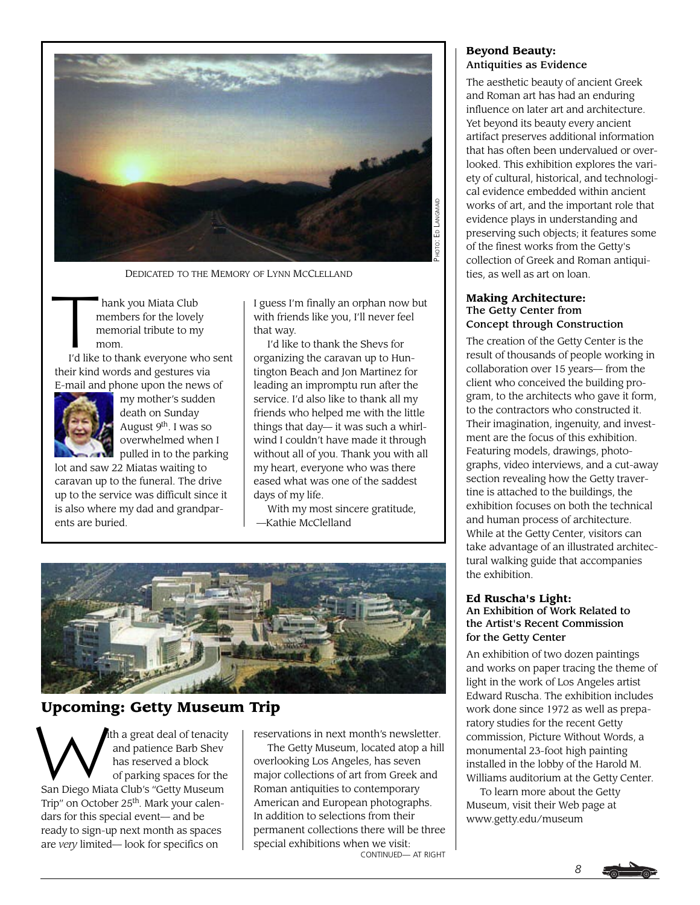

DEDICATED TO THE MEMORY OF LYNN MCCLELLAND

 $\begin{array}{c}\n\hline\n\end{array}$  hank you Miata Club members for the lovely memorial tribute to my mom.

I'd like to thank everyone who sent their kind words and gestures via E-mail and phone upon the news of



my mother's sudden death on Sunday August 9th. I was so overwhelmed when I  $\sim$  pulled in to the parking

lot and saw 22 Miatas waiting to caravan up to the funeral. The drive up to the service was difficult since it is also where my dad and grandparents are buried.

I guess I'm finally an orphan now but with friends like you, I'll never feel that way.

I'd like to thank the Shevs for organizing the caravan up to Huntington Beach and Jon Martinez for leading an impromptu run after the service. I'd also like to thank all my friends who helped me with the little things that day— it was such a whirlwind I couldn't have made it through without all of you. Thank you with all my heart, everyone who was there eased what was one of the saddest days of my life.

With my most sincere gratitude, —Kathie McClelland



# **Upcoming: Getty Museum Trip**

W ith a great deal of tenacity and patience Barb Shev has reserved a block of parking spaces for the San Diego Miata Club's "Getty Museum Trip" on October 25th. Mark your calendars for this special event— and be ready to sign-up next month as spaces are *very* limited— look for specifics on

reservations in next month's newsletter.

CONTINUED— AT RIGHT The Getty Museum, located atop a hill overlooking Los Angeles, has seven major collections of art from Greek and Roman antiquities to contemporary American and European photographs. In addition to selections from their permanent collections there will be three special exhibitions when we visit:

#### **Beyond Beauty:** Antiquities as Evidence

The aesthetic beauty of ancient Greek and Roman art has had an enduring influence on later art and architecture. Yet beyond its beauty every ancient artifact preserves additional information that has often been undervalued or overlooked. This exhibition explores the variety of cultural, historical, and technological evidence embedded within ancient works of art, and the important role that evidence plays in understanding and preserving such objects; it features some of the finest works from the Getty's collection of Greek and Roman antiquities, as well as art on loan.

#### **Making Architecture:** The Getty Center from Concept through Construction

The creation of the Getty Center is the result of thousands of people working in collaboration over 15 years— from the client who conceived the building program, to the architects who gave it form, to the contractors who constructed it. Their imagination, ingenuity, and investment are the focus of this exhibition. Featuring models, drawings, photographs, video interviews, and a cut-away section revealing how the Getty travertine is attached to the buildings, the exhibition focuses on both the technical and human process of architecture. While at the Getty Center, visitors can take advantage of an illustrated architectural walking guide that accompanies the exhibition.

#### **Ed Ruscha's Light:** An Exhibition of Work Related to the Artist's Recent Commission for the Getty Center

An exhibition of two dozen paintings and works on paper tracing the theme of light in the work of Los Angeles artist Edward Ruscha. The exhibition includes work done since 1972 as well as preparatory studies for the recent Getty commission, Picture Without Words, a monumental 23-foot high painting installed in the lobby of the Harold M. Williams auditorium at the Getty Center.

To learn more about the Getty Museum, visit their Web page at www.getty.edu/museum

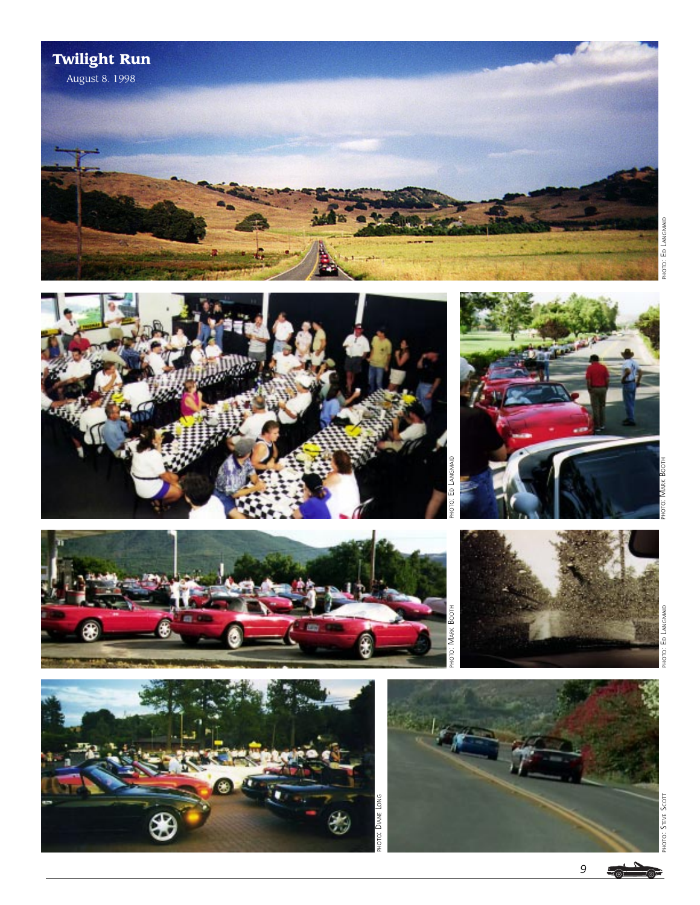











PHOTO: STEVE SCOTT

∕⊚ল

*9*  $\overline{\mathcal{L}_{\odot}}$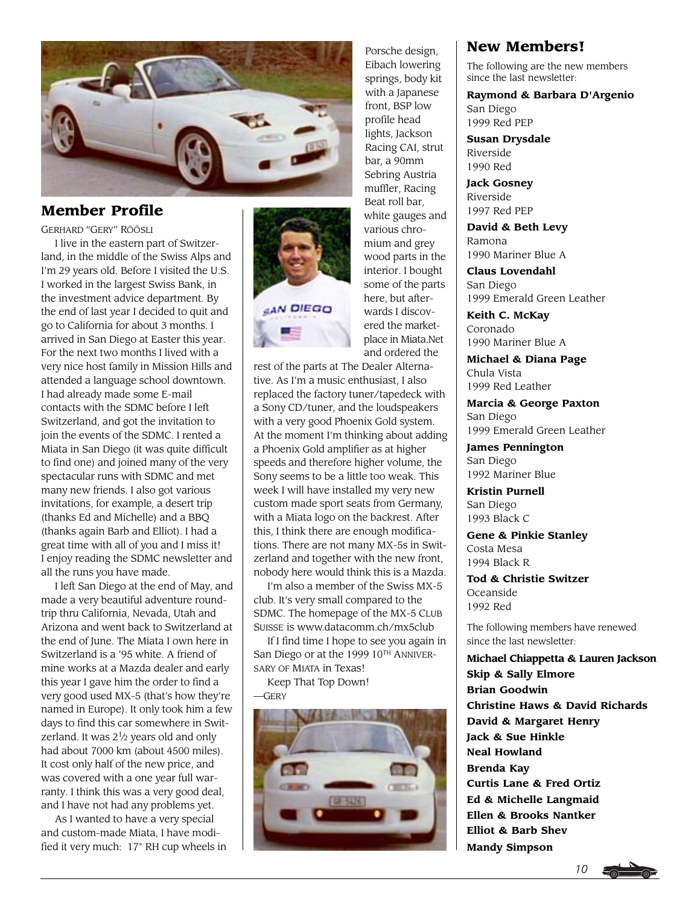

## **Member Profile**

GERHARD "GERY" RÖÖSLI

I live in the eastern part of Switzerland, in the middle of the Swiss Alps and I'm 29 years old. Before I visited the U.S. I worked in the largest Swiss Bank, in the investment advice department. By the end of last year I decided to quit and go to California for about 3 months. I arrived in San Diego at Easter this year. For the next two months I lived with a very nice host family in Mission Hills and attended a language school downtown. I had already made some E-mail contacts with the SDMC before I left Switzerland, and got the invitation to join the events of the SDMC. I rented a Miata in San Diego (it was quite difficult to find one) and joined many of the very spectacular runs with SDMC and met many new friends. I also got various invitations, for example, a desert trip (thanks Ed and Michelle) and a BBQ (thanks again Barb and Elliot). I had a great time with all of you and I miss it! I enjoy reading the SDMC newsletter and all the runs you have made.

I left San Diego at the end of May, and made a very beautiful adventure roundtrip thru California, Nevada, Utah and Arizona and went back to Switzerland at the end of June. The Miata I own here in Switzerland is a '95 white. A friend of mine works at a Mazda dealer and early this year I gave him the order to find a very good used MX-5 (that's how they're named in Europe). It only took him a few days to find this car somewhere in Switzerland. It was  $2^{1}/2$  years old and only had about 7000 km (about 4500 miles). It cost only half of the new price, and was covered with a one year full warranty. I think this was a very good deal, and I have not had any problems yet.

As I wanted to have a very special and custom-made Miata, I have modified it very much: 17" RH cup wheels in



Porsche design, Eibach lowering springs, body kit with a Japanese front, BSP low profile head lights, Jackson Racing CAI, strut bar, a 90mm Sebring Austria muffler, Racing Beat roll bar, white gauges and various chromium and grey wood parts in the interior. I bought some of the parts here, but afterwards I discovered the marketplace in Miata.Net and ordered the

rest of the parts at The Dealer Alternative. As I'm a music enthusiast, I also replaced the factory tuner/tapedeck with a Sony CD/tuner, and the loudspeakers with a very good Phoenix Gold system. At the moment I'm thinking about adding a Phoenix Gold amplifier as at higher speeds and therefore higher volume, the Sony seems to be a little too weak. This week I will have installed my very new custom made sport seats from Germany, with a Miata logo on the backrest. After this, I think there are enough modifications. There are not many MX-5s in Switzerland and together with the new front, nobody here would think this is a Mazda.

I'm also a member of the Swiss MX-5 club. It's very small compared to the SDMC. The homepage of the MX-5 CLUB SUISSE is www.datacomm.ch/mx5club

If I find time I hope to see you again in San Diego or at the 1999 10TH ANNIVER-SARY OF MIATA in Texas!

Keep That Top Down! —GERY



## **New Members!**

The following are the new members since the last newsletter:

**Raymond & Barbara D'Argenio** San Diego 1999 Red PEP

**Susan Drysdale** Riverside 1990 Red

**Jack Gosney** Riverside 1997 Red PEP

**David & Beth Levy** Ramona 1990 Mariner Blue A

**Claus Lovendahl** San Diego 1999 Emerald Green Leather

**Keith C. McKay** Coronado 1990 Mariner Blue A

**Michael & Diana Page** Chula Vista 1999 Red Leather

**Marcia & George Paxton** San Diego 1999 Emerald Green Leather

**James Pennington** San Diego 1992 Mariner Blue

**Kristin Purnell** San Diego 1993 Black C

**Gene & Pinkie Stanley** Costa Mesa 1994 Black R

**Tod & Christie Switzer** Oceanside 1992 Red

The following members have renewed since the last newsletter:

**Michael Chiappetta & Lauren Jackson Skip & Sally Elmore Brian Goodwin Christine Haws & David Richards David & Margaret Henry Jack & Sue Hinkle Neal Howland Brenda Kay Curtis Lane & Fred Ortiz Ed & Michelle Langmaid Ellen & Brooks Nantker Elliot & Barb Shev Mandy Simpson**